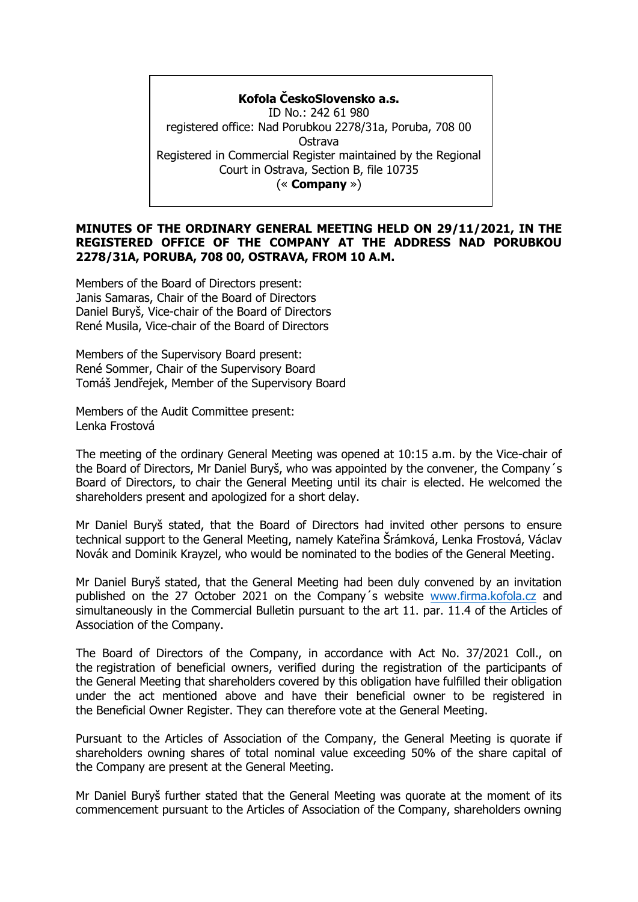**Kofola ČeskoSlovensko a.s.** ID No.: 242 61 980 registered office: Nad Porubkou 2278/31a, Poruba, 708 00 Ostrava Registered in Commercial Register maintained by the Regional Court in Ostrava, Section B, file 10735 (« **Company** »)

#### **MINUTES OF THE ORDINARY GENERAL MEETING HELD ON 29/11/2021, IN THE REGISTERED OFFICE OF THE COMPANY AT THE ADDRESS NAD PORUBKOU 2278/31A, PORUBA, 708 00, OSTRAVA, FROM 10 A.M.**

Members of the Board of Directors present: Janis Samaras, Chair of the Board of Directors Daniel Buryš, Vice-chair of the Board of Directors René Musila, Vice-chair of the Board of Directors

Members of the Supervisory Board present: René Sommer, Chair of the Supervisory Board Tomáš Jendřejek, Member of the Supervisory Board

Members of the Audit Committee present: Lenka Frostová

The meeting of the ordinary General Meeting was opened at 10:15 a.m. by the Vice-chair of the Board of Directors, Mr Daniel Buryš, who was appointed by the convener, the Company´s Board of Directors, to chair the General Meeting until its chair is elected. He welcomed the shareholders present and apologized for a short delay.

Mr Daniel Buryš stated, that the Board of Directors had invited other persons to ensure technical support to the General Meeting, namely Kateřina Šrámková, Lenka Frostová, Václav Novák and Dominik Krayzel, who would be nominated to the bodies of the General Meeting.

Mr Daniel Buryš stated, that the General Meeting had been duly convened by an invitation published on the 27 October 2021 on the Company´s website [www.firma.kofola.cz](http://www.firma.kofola.cz/) and simultaneously in the Commercial Bulletin pursuant to the art 11. par. 11.4 of the Articles of Association of the Company.

The Board of Directors of the Company, in accordance with Act No. 37/2021 Coll., on the registration of beneficial owners, verified during the registration of the participants of the General Meeting that shareholders covered by this obligation have fulfilled their obligation under the act mentioned above and have their beneficial owner to be registered in the Beneficial Owner Register. They can therefore vote at the General Meeting.

Pursuant to the Articles of Association of the Company, the General Meeting is quorate if shareholders owning shares of total nominal value exceeding 50% of the share capital of the Company are present at the General Meeting.

Mr Daniel Buryš further stated that the General Meeting was quorate at the moment of its commencement pursuant to the Articles of Association of the Company, shareholders owning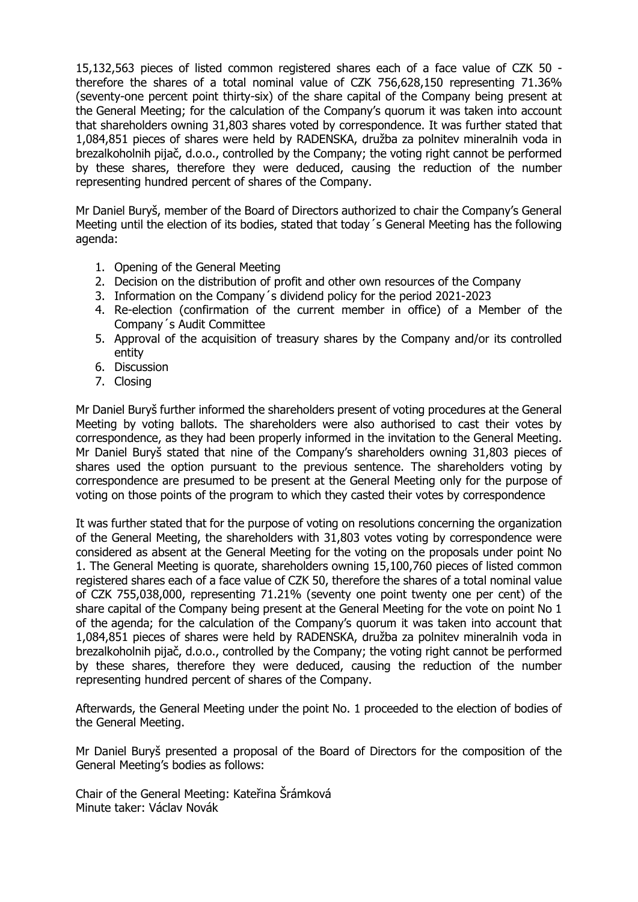15,132,563 pieces of listed common registered shares each of a face value of CZK 50 therefore the shares of a total nominal value of CZK 756,628,150 representing 71.36% (seventy-one percent point thirty-six) of the share capital of the Company being present at the General Meeting; for the calculation of the Company's quorum it was taken into account that shareholders owning 31,803 shares voted by correspondence. It was further stated that 1,084,851 pieces of shares were held by RADENSKA, družba za polnitev mineralnih voda in brezalkoholnih pijač, d.o.o., controlled by the Company; the voting right cannot be performed by these shares, therefore they were deduced, causing the reduction of the number representing hundred percent of shares of the Company.

Mr Daniel Buryš, member of the Board of Directors authorized to chair the Company's General Meeting until the election of its bodies, stated that today´s General Meeting has the following agenda:

- 1. Opening of the General Meeting
- 2. Decision on the distribution of profit and other own resources of the Company
- 3. Information on the Company´s dividend policy for the period 2021-2023
- 4. Re-election (confirmation of the current member in office) of a Member of the Company´s Audit Committee
- 5. Approval of the acquisition of treasury shares by the Company and/or its controlled entity
- 6. Discussion
- 7. Closing

Mr Daniel Buryš further informed the shareholders present of voting procedures at the General Meeting by voting ballots. The shareholders were also authorised to cast their votes by correspondence, as they had been properly informed in the invitation to the General Meeting. Mr Daniel Buryš stated that nine of the Company's shareholders owning 31,803 pieces of shares used the option pursuant to the previous sentence. The shareholders voting by correspondence are presumed to be present at the General Meeting only for the purpose of voting on those points of the program to which they casted their votes by correspondence

It was further stated that for the purpose of voting on resolutions concerning the organization of the General Meeting, the shareholders with 31,803 votes voting by correspondence were considered as absent at the General Meeting for the voting on the proposals under point No 1. The General Meeting is quorate, shareholders owning 15,100,760 pieces of listed common registered shares each of a face value of CZK 50, therefore the shares of a total nominal value of CZK 755,038,000, representing 71.21% (seventy one point twenty one per cent) of the share capital of the Company being present at the General Meeting for the vote on point No 1 of the agenda; for the calculation of the Company's quorum it was taken into account that 1,084,851 pieces of shares were held by RADENSKA, družba za polnitev mineralnih voda in brezalkoholnih pijač, d.o.o., controlled by the Company; the voting right cannot be performed by these shares, therefore they were deduced, causing the reduction of the number representing hundred percent of shares of the Company.

Afterwards, the General Meeting under the point No. 1 proceeded to the election of bodies of the General Meeting.

Mr Daniel Buryš presented a proposal of the Board of Directors for the composition of the General Meeting's bodies as follows:

Chair of the General Meeting: Kateřina Šrámková Minute taker: Václav Novák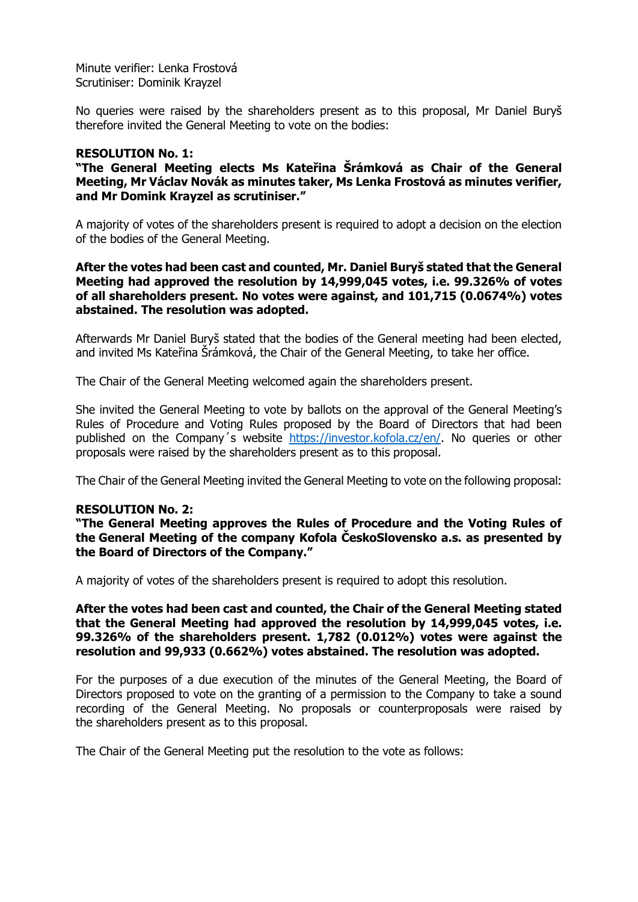Minute verifier: Lenka Frostová Scrutiniser: Dominik Krayzel

No queries were raised by the shareholders present as to this proposal, Mr Daniel Buryš therefore invited the General Meeting to vote on the bodies:

# **RESOLUTION No. 1:**

**"The General Meeting elects Ms Kateřina Šrámková as Chair of the General Meeting, Mr Václav Novák as minutes taker, Ms Lenka Frostová as minutes verifier, and Mr Domink Krayzel as scrutiniser."**

A majority of votes of the shareholders present is required to adopt a decision on the election of the bodies of the General Meeting.

**After the votes had been cast and counted, Mr. Daniel Buryš stated that the General Meeting had approved the resolution by 14,999,045 votes, i.e. 99.326% of votes of all shareholders present. No votes were against, and 101,715 (0.0674%) votes abstained. The resolution was adopted.**

Afterwards Mr Daniel Buryš stated that the bodies of the General meeting had been elected, and invited Ms Kateřina Šrámková, the Chair of the General Meeting, to take her office.

The Chair of the General Meeting welcomed again the shareholders present.

She invited the General Meeting to vote by ballots on the approval of the General Meeting's Rules of Procedure and Voting Rules proposed by the Board of Directors that had been published on the Company's website [https://investor.kofola.cz/en/.](https://investor.kofola.cz/en/) No queries or other proposals were raised by the shareholders present as to this proposal.

The Chair of the General Meeting invited the General Meeting to vote on the following proposal:

# **RESOLUTION No. 2:**

**"The General Meeting approves the Rules of Procedure and the Voting Rules of the General Meeting of the company Kofola ČeskoSlovensko a.s. as presented by the Board of Directors of the Company."**

A majority of votes of the shareholders present is required to adopt this resolution.

**After the votes had been cast and counted, the Chair of the General Meeting stated that the General Meeting had approved the resolution by 14,999,045 votes, i.e. 99.326% of the shareholders present. 1,782 (0.012%) votes were against the resolution and 99,933 (0.662%) votes abstained. The resolution was adopted.**

For the purposes of a due execution of the minutes of the General Meeting, the Board of Directors proposed to vote on the granting of a permission to the Company to take a sound recording of the General Meeting. No proposals or counterproposals were raised by the shareholders present as to this proposal.

The Chair of the General Meeting put the resolution to the vote as follows: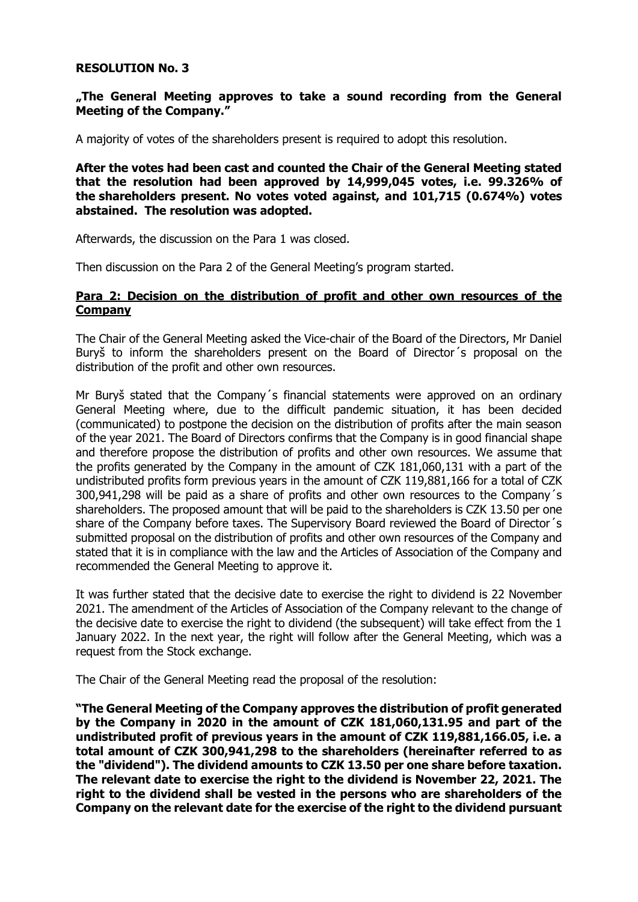# **RESOLUTION No. 3**

# **"The General Meeting approves to take a sound recording from the General Meeting of the Company."**

A majority of votes of the shareholders present is required to adopt this resolution.

**After the votes had been cast and counted the Chair of the General Meeting stated that the resolution had been approved by 14,999,045 votes, i.e. 99.326% of the shareholders present. No votes voted against, and 101,715 (0.674%) votes abstained. The resolution was adopted.**

Afterwards, the discussion on the Para 1 was closed.

Then discussion on the Para 2 of the General Meeting's program started.

# **Para 2: Decision on the distribution of profit and other own resources of the Company**

The Chair of the General Meeting asked the Vice-chair of the Board of the Directors, Mr Daniel Buryš to inform the shareholders present on the Board of Director´s proposal on the distribution of the profit and other own resources.

Mr Buryš stated that the Company´s financial statements were approved on an ordinary General Meeting where, due to the difficult pandemic situation, it has been decided (communicated) to postpone the decision on the distribution of profits after the main season of the year 2021. The Board of Directors confirms that the Company is in good financial shape and therefore propose the distribution of profits and other own resources. We assume that the profits generated by the Company in the amount of CZK 181,060,131 with a part of the undistributed profits form previous years in the amount of CZK 119,881,166 for a total of CZK 300,941,298 will be paid as a share of profits and other own resources to the Company´s shareholders. The proposed amount that will be paid to the shareholders is CZK 13.50 per one share of the Company before taxes. The Supervisory Board reviewed the Board of Director´s submitted proposal on the distribution of profits and other own resources of the Company and stated that it is in compliance with the law and the Articles of Association of the Company and recommended the General Meeting to approve it.

It was further stated that the decisive date to exercise the right to dividend is 22 November 2021. The amendment of the Articles of Association of the Company relevant to the change of the decisive date to exercise the right to dividend (the subsequent) will take effect from the 1 January 2022. In the next year, the right will follow after the General Meeting, which was a request from the Stock exchange.

The Chair of the General Meeting read the proposal of the resolution:

**"The General Meeting of the Company approves the distribution of profit generated by the Company in 2020 in the amount of CZK 181,060,131.95 and part of the undistributed profit of previous years in the amount of CZK 119,881,166.05, i.e. a total amount of CZK 300,941,298 to the shareholders (hereinafter referred to as the "dividend"). The dividend amounts to CZK 13.50 per one share before taxation. The relevant date to exercise the right to the dividend is November 22, 2021. The right to the dividend shall be vested in the persons who are shareholders of the Company on the relevant date for the exercise of the right to the dividend pursuant**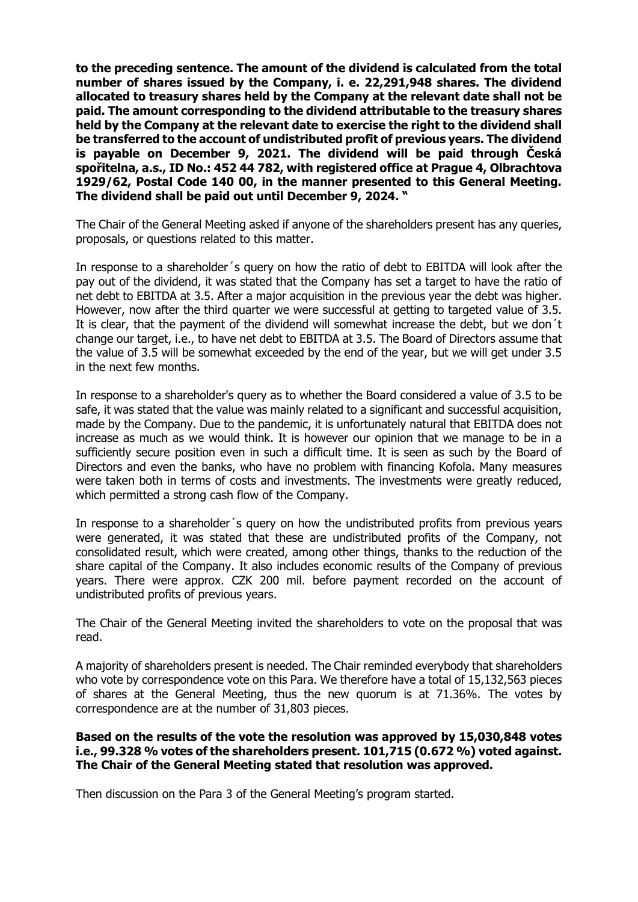**to the preceding sentence. The amount of the dividend is calculated from the total number of shares issued by the Company, i. e. 22,291,948 shares. The dividend allocated to treasury shares held by the Company at the relevant date shall not be paid. The amount corresponding to the dividend attributable to the treasury shares held by the Company at the relevant date to exercise the right to the dividend shall be transferred to the account of undistributed profit of previous years. The dividend is payable on December 9, 2021. The dividend will be paid through Česká spořitelna, a.s., ID No.: 452 44 782, with registered office at Prague 4, Olbrachtova 1929/62, Postal Code 140 00, in the manner presented to this General Meeting. The dividend shall be paid out until December 9, 2024. "**

The Chair of the General Meeting asked if anyone of the shareholders present has any queries, proposals, or questions related to this matter.

In response to a shareholder´s query on how the ratio of debt to EBITDA will look after the pay out of the dividend, it was stated that the Company has set a target to have the ratio of net debt to EBITDA at 3.5. After a major acquisition in the previous year the debt was higher. However, now after the third quarter we were successful at getting to targeted value of 3.5. It is clear, that the payment of the dividend will somewhat increase the debt, but we don´t change our target, i.e., to have net debt to EBITDA at 3.5. The Board of Directors assume that the value of 3.5 will be somewhat exceeded by the end of the year, but we will get under 3.5 in the next few months.

In response to a shareholder's query as to whether the Board considered a value of 3.5 to be safe, it was stated that the value was mainly related to a significant and successful acquisition, made by the Company. Due to the pandemic, it is unfortunately natural that EBITDA does not increase as much as we would think. It is however our opinion that we manage to be in a sufficiently secure position even in such a difficult time. It is seen as such by the Board of Directors and even the banks, who have no problem with financing Kofola. Many measures were taken both in terms of costs and investments. The investments were greatly reduced, which permitted a strong cash flow of the Company.

In response to a shareholder's query on how the undistributed profits from previous vears were generated, it was stated that these are undistributed profits of the Company, not consolidated result, which were created, among other things, thanks to the reduction of the share capital of the Company. It also includes economic results of the Company of previous years. There were approx. CZK 200 mil. before payment recorded on the account of undistributed profits of previous years.

The Chair of the General Meeting invited the shareholders to vote on the proposal that was read.

A majority of shareholders present is needed. The Chair reminded everybody that shareholders who vote by correspondence vote on this Para. We therefore have a total of 15,132,563 pieces of shares at the General Meeting, thus the new quorum is at 71.36%. The votes by correspondence are at the number of 31,803 pieces.

# **Based on the results of the vote the resolution was approved by 15,030,848 votes i.e., 99.328 % votes of the shareholders present. 101,715 (0.672 %) voted against. The Chair of the General Meeting stated that resolution was approved.**

Then discussion on the Para 3 of the General Meeting's program started.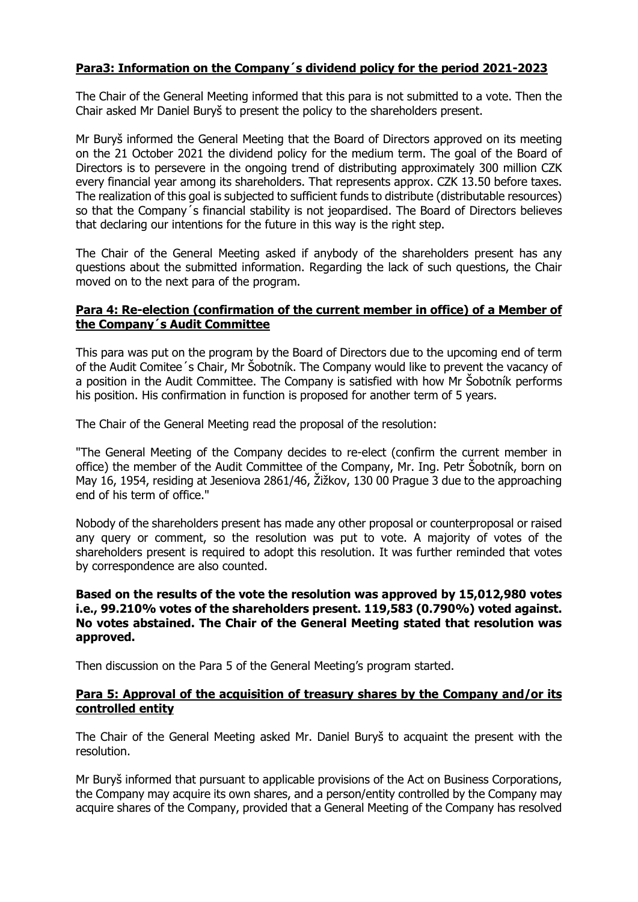# **Para3: Information on the Company´s dividend policy for the period 2021-2023**

The Chair of the General Meeting informed that this para is not submitted to a vote. Then the Chair asked Mr Daniel Buryš to present the policy to the shareholders present.

Mr Buryš informed the General Meeting that the Board of Directors approved on its meeting on the 21 October 2021 the dividend policy for the medium term. The goal of the Board of Directors is to persevere in the ongoing trend of distributing approximately 300 million CZK every financial year among its shareholders. That represents approx. CZK 13.50 before taxes. The realization of this goal is subjected to sufficient funds to distribute (distributable resources) so that the Company´s financial stability is not jeopardised. The Board of Directors believes that declaring our intentions for the future in this way is the right step.

The Chair of the General Meeting asked if anybody of the shareholders present has any questions about the submitted information. Regarding the lack of such questions, the Chair moved on to the next para of the program.

# **Para 4: Re-election (confirmation of the current member in office) of a Member of the Company´s Audit Committee**

This para was put on the program by the Board of Directors due to the upcoming end of term of the Audit Comitee´s Chair, Mr Šobotník. The Company would like to prevent the vacancy of a position in the Audit Committee. The Company is satisfied with how Mr Šobotník performs his position. His confirmation in function is proposed for another term of 5 years.

The Chair of the General Meeting read the proposal of the resolution:

"The General Meeting of the Company decides to re-elect (confirm the current member in office) the member of the Audit Committee of the Company, Mr. Ing. Petr Šobotník, born on May 16, 1954, residing at Jeseniova 2861/46, Žižkov, 130 00 Prague 3 due to the approaching end of his term of office."

Nobody of the shareholders present has made any other proposal or counterproposal or raised any query or comment, so the resolution was put to vote. A majority of votes of the shareholders present is required to adopt this resolution. It was further reminded that votes by correspondence are also counted.

# **Based on the results of the vote the resolution was approved by 15,012,980 votes i.e., 99.210% votes of the shareholders present. 119,583 (0.790%) voted against. No votes abstained. The Chair of the General Meeting stated that resolution was approved.**

Then discussion on the Para 5 of the General Meeting's program started.

# **Para 5: Approval of the acquisition of treasury shares by the Company and/or its controlled entity**

The Chair of the General Meeting asked Mr. Daniel Buryš to acquaint the present with the resolution.

Mr Buryš informed that pursuant to applicable provisions of the Act on Business Corporations, the Company may acquire its own shares, and a person/entity controlled by the Company may acquire shares of the Company, provided that a General Meeting of the Company has resolved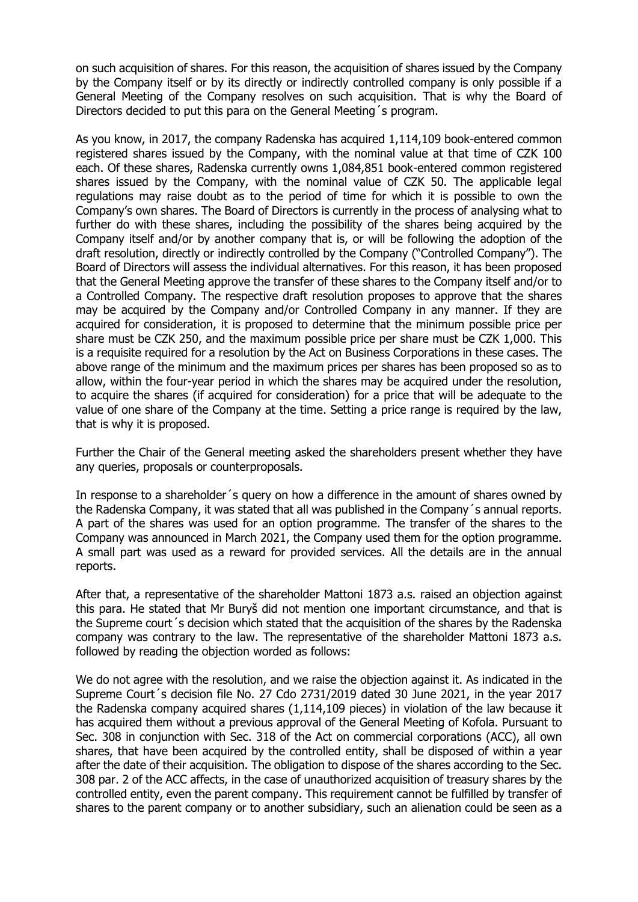on such acquisition of shares. For this reason, the acquisition of shares issued by the Company by the Company itself or by its directly or indirectly controlled company is only possible if a General Meeting of the Company resolves on such acquisition. That is why the Board of Directors decided to put this para on the General Meeting´s program.

As you know, in 2017, the company Radenska has acquired 1,114,109 book-entered common registered shares issued by the Company, with the nominal value at that time of CZK 100 each. Of these shares, Radenska currently owns 1,084,851 book-entered common registered shares issued by the Company, with the nominal value of CZK 50. The applicable legal regulations may raise doubt as to the period of time for which it is possible to own the Company's own shares. The Board of Directors is currently in the process of analysing what to further do with these shares, including the possibility of the shares being acquired by the Company itself and/or by another company that is, or will be following the adoption of the draft resolution, directly or indirectly controlled by the Company ("Controlled Company"). The Board of Directors will assess the individual alternatives. For this reason, it has been proposed that the General Meeting approve the transfer of these shares to the Company itself and/or to a Controlled Company. The respective draft resolution proposes to approve that the shares may be acquired by the Company and/or Controlled Company in any manner. If they are acquired for consideration, it is proposed to determine that the minimum possible price per share must be CZK 250, and the maximum possible price per share must be CZK 1,000. This is a requisite required for a resolution by the Act on Business Corporations in these cases. The above range of the minimum and the maximum prices per shares has been proposed so as to allow, within the four-year period in which the shares may be acquired under the resolution, to acquire the shares (if acquired for consideration) for a price that will be adequate to the value of one share of the Company at the time. Setting a price range is required by the law, that is why it is proposed.

Further the Chair of the General meeting asked the shareholders present whether they have any queries, proposals or counterproposals.

In response to a shareholder´s query on how a difference in the amount of shares owned by the Radenska Company, it was stated that all was published in the Company´s annual reports. A part of the shares was used for an option programme. The transfer of the shares to the Company was announced in March 2021, the Company used them for the option programme. A small part was used as a reward for provided services. All the details are in the annual reports.

After that, a representative of the shareholder Mattoni 1873 a.s. raised an objection against this para. He stated that Mr Buryš did not mention one important circumstance, and that is the Supreme court´s decision which stated that the acquisition of the shares by the Radenska company was contrary to the law. The representative of the shareholder Mattoni 1873 a.s. followed by reading the objection worded as follows:

We do not agree with the resolution, and we raise the objection against it. As indicated in the Supreme Court´s decision file No. 27 Cdo 2731/2019 dated 30 June 2021, in the year 2017 the Radenska company acquired shares (1,114,109 pieces) in violation of the law because it has acquired them without a previous approval of the General Meeting of Kofola. Pursuant to Sec. 308 in conjunction with Sec. 318 of the Act on commercial corporations (ACC), all own shares, that have been acquired by the controlled entity, shall be disposed of within a year after the date of their acquisition. The obligation to dispose of the shares according to the Sec. 308 par. 2 of the ACC affects, in the case of unauthorized acquisition of treasury shares by the controlled entity, even the parent company. This requirement cannot be fulfilled by transfer of shares to the parent company or to another subsidiary, such an alienation could be seen as a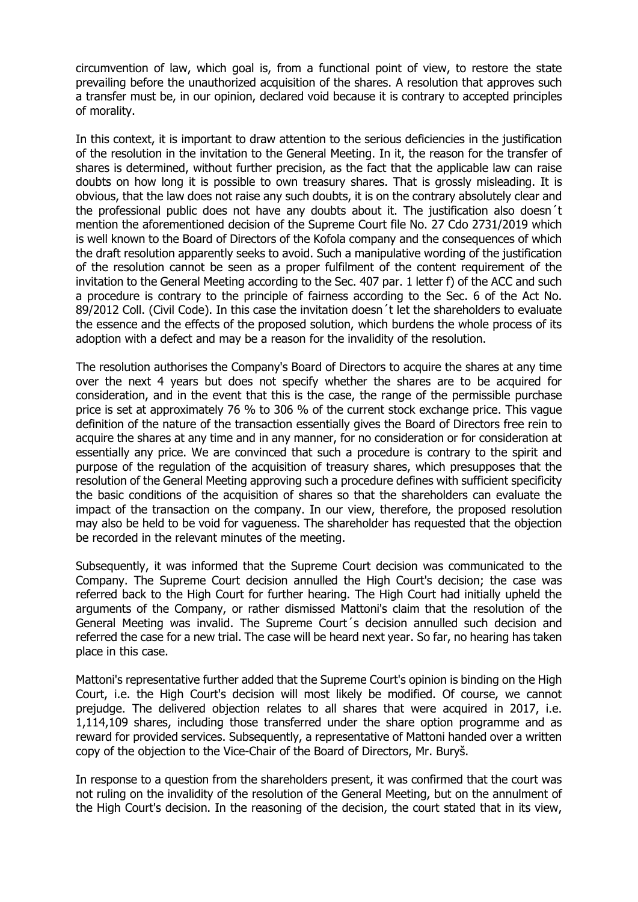circumvention of law, which goal is, from a functional point of view, to restore the state prevailing before the unauthorized acquisition of the shares. A resolution that approves such a transfer must be, in our opinion, declared void because it is contrary to accepted principles of morality.

In this context, it is important to draw attention to the serious deficiencies in the justification of the resolution in the invitation to the General Meeting. In it, the reason for the transfer of shares is determined, without further precision, as the fact that the applicable law can raise doubts on how long it is possible to own treasury shares. That is grossly misleading. It is obvious, that the law does not raise any such doubts, it is on the contrary absolutely clear and the professional public does not have any doubts about it. The justification also doesn´t mention the aforementioned decision of the Supreme Court file No. 27 Cdo 2731/2019 which is well known to the Board of Directors of the Kofola company and the consequences of which the draft resolution apparently seeks to avoid. Such a manipulative wording of the justification of the resolution cannot be seen as a proper fulfilment of the content requirement of the invitation to the General Meeting according to the Sec. 407 par. 1 letter f) of the ACC and such a procedure is contrary to the principle of fairness according to the Sec. 6 of the Act No. 89/2012 Coll. (Civil Code). In this case the invitation doesn't let the shareholders to evaluate the essence and the effects of the proposed solution, which burdens the whole process of its adoption with a defect and may be a reason for the invalidity of the resolution.

The resolution authorises the Company's Board of Directors to acquire the shares at any time over the next 4 years but does not specify whether the shares are to be acquired for consideration, and in the event that this is the case, the range of the permissible purchase price is set at approximately 76 % to 306 % of the current stock exchange price. This vague definition of the nature of the transaction essentially gives the Board of Directors free rein to acquire the shares at any time and in any manner, for no consideration or for consideration at essentially any price. We are convinced that such a procedure is contrary to the spirit and purpose of the regulation of the acquisition of treasury shares, which presupposes that the resolution of the General Meeting approving such a procedure defines with sufficient specificity the basic conditions of the acquisition of shares so that the shareholders can evaluate the impact of the transaction on the company. In our view, therefore, the proposed resolution may also be held to be void for vagueness. The shareholder has requested that the objection be recorded in the relevant minutes of the meeting.

Subsequently, it was informed that the Supreme Court decision was communicated to the Company. The Supreme Court decision annulled the High Court's decision; the case was referred back to the High Court for further hearing. The High Court had initially upheld the arguments of the Company, or rather dismissed Mattoni's claim that the resolution of the General Meeting was invalid. The Supreme Court´s decision annulled such decision and referred the case for a new trial. The case will be heard next year. So far, no hearing has taken place in this case.

Mattoni's representative further added that the Supreme Court's opinion is binding on the High Court, i.e. the High Court's decision will most likely be modified. Of course, we cannot prejudge. The delivered objection relates to all shares that were acquired in 2017, i.e. 1,114,109 shares, including those transferred under the share option programme and as reward for provided services. Subsequently, a representative of Mattoni handed over a written copy of the objection to the Vice-Chair of the Board of Directors, Mr. Buryš.

In response to a question from the shareholders present, it was confirmed that the court was not ruling on the invalidity of the resolution of the General Meeting, but on the annulment of the High Court's decision. In the reasoning of the decision, the court stated that in its view,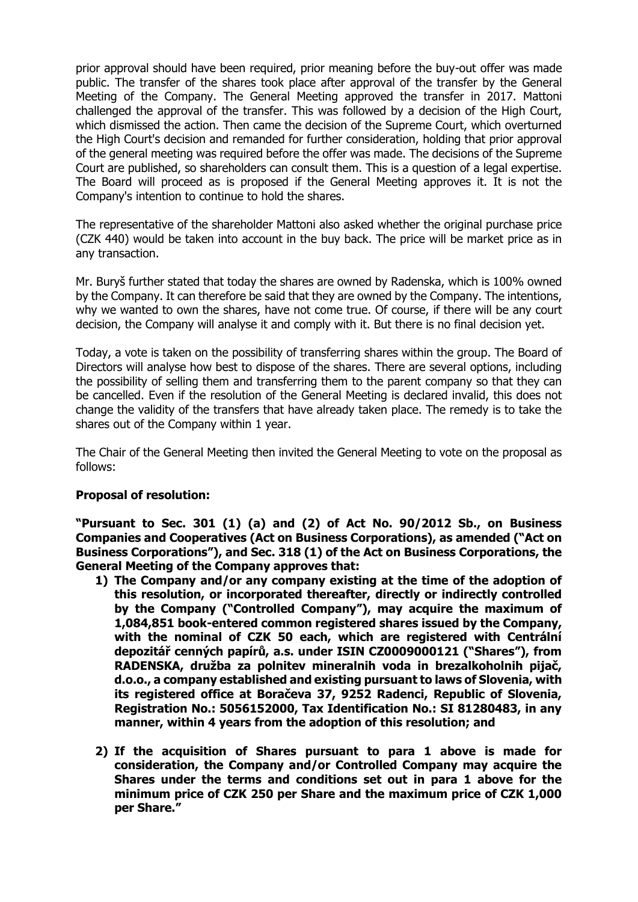prior approval should have been required, prior meaning before the buy-out offer was made public. The transfer of the shares took place after approval of the transfer by the General Meeting of the Company. The General Meeting approved the transfer in 2017. Mattoni challenged the approval of the transfer. This was followed by a decision of the High Court, which dismissed the action. Then came the decision of the Supreme Court, which overturned the High Court's decision and remanded for further consideration, holding that prior approval of the general meeting was required before the offer was made. The decisions of the Supreme Court are published, so shareholders can consult them. This is a question of a legal expertise. The Board will proceed as is proposed if the General Meeting approves it. It is not the Company's intention to continue to hold the shares.

The representative of the shareholder Mattoni also asked whether the original purchase price (CZK 440) would be taken into account in the buy back. The price will be market price as in any transaction.

Mr. Buryš further stated that today the shares are owned by Radenska, which is 100% owned by the Company. It can therefore be said that they are owned by the Company. The intentions, why we wanted to own the shares, have not come true. Of course, if there will be any court decision, the Company will analyse it and comply with it. But there is no final decision yet.

Today, a vote is taken on the possibility of transferring shares within the group. The Board of Directors will analyse how best to dispose of the shares. There are several options, including the possibility of selling them and transferring them to the parent company so that they can be cancelled. Even if the resolution of the General Meeting is declared invalid, this does not change the validity of the transfers that have already taken place. The remedy is to take the shares out of the Company within 1 year.

The Chair of the General Meeting then invited the General Meeting to vote on the proposal as follows:

# **Proposal of resolution:**

**"Pursuant to Sec. 301 (1) (a) and (2) of Act No. 90/2012 Sb., on Business Companies and Cooperatives (Act on Business Corporations), as amended ("Act on Business Corporations"), and Sec. 318 (1) of the Act on Business Corporations, the General Meeting of the Company approves that:** 

- **1) The Company and/or any company existing at the time of the adoption of this resolution, or incorporated thereafter, directly or indirectly controlled by the Company ("Controlled Company"), may acquire the maximum of 1,084,851 book-entered common registered shares issued by the Company, with the nominal of CZK 50 each, which are registered with Centrální depozitář cenných papírů, a.s. under ISIN CZ0009000121 ("Shares"), from RADENSKA, družba za polnitev mineralnih voda in brezalkoholnih pijač, d.o.o., a company established and existing pursuant to laws of Slovenia, with its registered office at Boračeva 37, 9252 Radenci, Republic of Slovenia, Registration No.: 5056152000, Tax Identification No.: SI 81280483, in any manner, within 4 years from the adoption of this resolution; and**
- **2) If the acquisition of Shares pursuant to para 1 above is made for consideration, the Company and/or Controlled Company may acquire the Shares under the terms and conditions set out in para 1 above for the minimum price of CZK 250 per Share and the maximum price of CZK 1,000 per Share."**